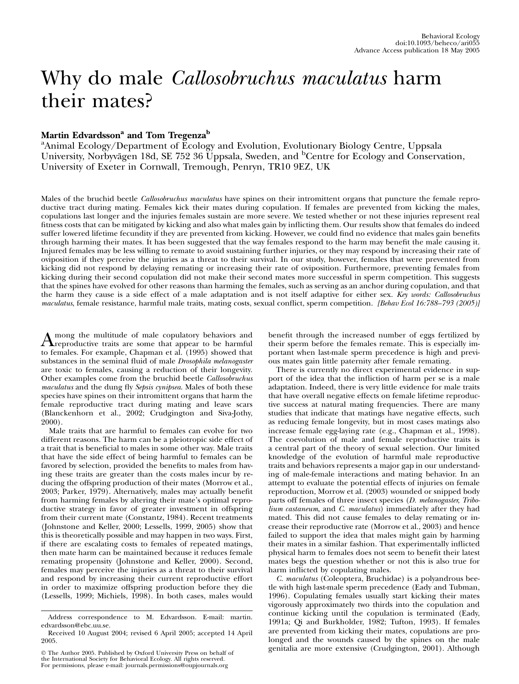# Why do male Callosobruchus maculatus harm their mates?

# Martin Edvardsson<sup>a</sup> and Tom Tregenza<sup>b</sup>

a Animal Ecology/Department of Ecology and Evolution, Evolutionary Biology Centre, Uppsala University, Norbyvägen 18d, SE 752 36 Uppsala, Sweden, and <sup>b</sup>Centre for Ecology and Conservation, University of Exeter in Cornwall, Tremough, Penryn, TR10 9EZ, UK

Males of the bruchid beetle Callosobruchus maculatus have spines on their intromittent organs that puncture the female reproductive tract during mating. Females kick their mates during copulation. If females are prevented from kicking the males, copulations last longer and the injuries females sustain are more severe. We tested whether or not these injuries represent real fitness costs that can be mitigated by kicking and also what males gain by inflicting them. Our results show that females do indeed suffer lowered lifetime fecundity if they are prevented from kicking. However, we could find no evidence that males gain benefits through harming their mates. It has been suggested that the way females respond to the harm may benefit the male causing it. Injured females may be less willing to remate to avoid sustaining further injuries, or they may respond by increasing their rate of oviposition if they perceive the injuries as a threat to their survival. In our study, however, females that were prevented from kicking did not respond by delaying remating or increasing their rate of oviposition. Furthermore, preventing females from kicking during their second copulation did not make their second mates more successful in sperm competition. This suggests that the spines have evolved for other reasons than harming the females, such as serving as an anchor during copulation, and that the harm they cause is a side effect of a male adaptation and is not itself adaptive for either sex. Key words: Callosobruchus maculatus, female resistance, harmful male traits, mating costs, sexual conflict, sperm competition. [Behav Ecol 16:788-793 (2005)]

A mong the multitude of male copulatory behaviors and<br>reproductive traits are some that appear to be harmful<br>to formales. For argumple, Channen et al. (1005) showed that to females. For example, Chapman et al. (1995) showed that substances in the seminal fluid of male Drosophila melanogaster are toxic to females, causing a reduction of their longevity. Other examples come from the bruchid beetle Callosobruchus maculatus and the dung fly Sepsis cynipsea. Males of both these species have spines on their intromittent organs that harm the female reproductive tract during mating and leave scars (Blanckenhorn et al., 2002; Crudgington and Siva-Jothy, 2000).

Male traits that are harmful to females can evolve for two different reasons. The harm can be a pleiotropic side effect of a trait that is beneficial to males in some other way. Male traits that have the side effect of being harmful to females can be favored by selection, provided the benefits to males from having these traits are greater than the costs males incur by reducing the offspring production of their mates (Morrow et al., 2003; Parker, 1979). Alternatively, males may actually benefit from harming females by altering their mate's optimal reproductive strategy in favor of greater investment in offspring from their current mate (Constantz, 1984). Recent treatments (Johnstone and Keller, 2000; Lessells, 1999, 2005) show that this is theoretically possible and may happen in two ways. First, if there are escalating costs to females of repeated matings, then mate harm can be maintained because it reduces female remating propensity (Johnstone and Keller, 2000). Second, females may perceive the injuries as a threat to their survival and respond by increasing their current reproductive effort in order to maximize offspring production before they die (Lessells, 1999; Michiels, 1998). In both cases, males would

The Author 2005. Published by Oxford University Press on behalf of the International Society for Behavioral Ecology. All rights reserved. For permissions, please e-mail: journals.permissions@oupjournals.org

benefit through the increased number of eggs fertilized by their sperm before the females remate. This is especially important when last-male sperm precedence is high and previous mates gain little paternity after female remating.

There is currently no direct experimental evidence in support of the idea that the infliction of harm per se is a male adaptation. Indeed, there is very little evidence for male traits that have overall negative effects on female lifetime reproductive success at natural mating frequencies. There are many studies that indicate that matings have negative effects, such as reducing female longevity, but in most cases matings also increase female egg-laying rate (e.g., Chapman et al., 1998). The coevolution of male and female reproductive traits is a central part of the theory of sexual selection. Our limited knowledge of the evolution of harmful male reproductive traits and behaviors represents a major gap in our understanding of male-female interactions and mating behavior. In an attempt to evaluate the potential effects of injuries on female reproduction, Morrow et al. (2003) wounded or snipped body parts off females of three insect species (D. melanogaster, Tribolium castaneum, and C. maculatus) immediately after they had mated. This did not cause females to delay remating or increase their reproductive rate (Morrow et al., 2003) and hence failed to support the idea that males might gain by harming their mates in a similar fashion. That experimentally inflicted physical harm to females does not seem to benefit their latest mates begs the question whether or not this is also true for harm inflicted by copulating males.

C. maculatus (Coleoptera, Bruchidae) is a polyandrous beetle with high last-male sperm precedence (Eady and Tubman, 1996). Copulating females usually start kicking their mates vigorously approximately two thirds into the copulation and continue kicking until the copulation is terminated (Eady, 1991a; Qi and Burkholder, 1982; Tufton, 1993). If females are prevented from kicking their mates, copulations are prolonged and the wounds caused by the spines on the male genitalia are more extensive (Crudgington, 2001). Although

Address correspondence to M. Edvardsson. E-mail: martin. edvardsson@ebc.uu.se.

Received 10 August 2004; revised 6 April 2005; accepted 14 April 2005.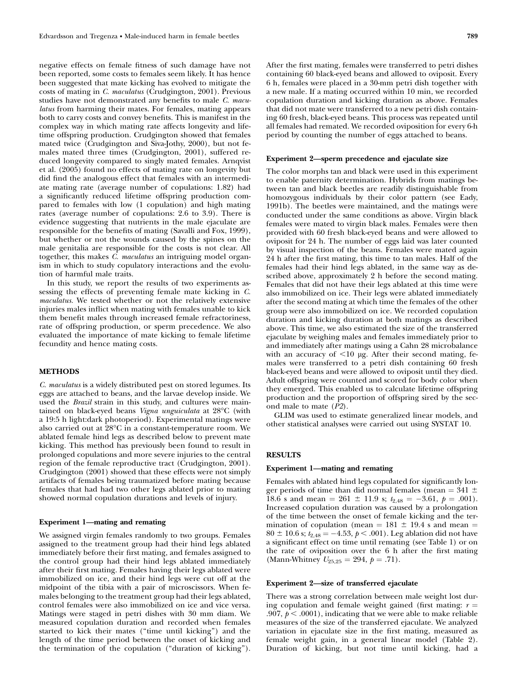negative effects on female fitness of such damage have not been reported, some costs to females seem likely. It has hence been suggested that mate kicking has evolved to mitigate the costs of mating in C. maculatus (Crudgington, 2001). Previous studies have not demonstrated any benefits to male C. maculatus from harming their mates. For females, mating appears both to carry costs and convey benefits. This is manifest in the complex way in which mating rate affects longevity and lifetime offspring production. Crudgington showed that females mated twice (Crudgington and Siva-Jothy, 2000), but not females mated three times (Crudgington, 2001), suffered reduced longevity compared to singly mated females. Arnqvist et al. (2005) found no effects of mating rate on longevity but did find the analogous effect that females with an intermediate mating rate (average number of copulations: 1.82) had a significantly reduced lifetime offspring production compared to females with low (1 copulation) and high mating rates (average number of copulations: 2.6 to 3.9). There is evidence suggesting that nutrients in the male ejaculate are responsible for the benefits of mating (Savalli and Fox, 1999), but whether or not the wounds caused by the spines on the male genitalia are responsible for the costs is not clear. All together, this makes C. maculatus an intriguing model organism in which to study copulatory interactions and the evolution of harmful male traits.

In this study, we report the results of two experiments assessing the effects of preventing female mate kicking in C. maculatus. We tested whether or not the relatively extensive injuries males inflict when mating with females unable to kick them benefit males through increased female refractoriness, rate of offspring production, or sperm precedence. We also evaluated the importance of mate kicking to female lifetime fecundity and hence mating costs.

#### METHODS

C. maculatus is a widely distributed pest on stored legumes. Its eggs are attached to beans, and the larvae develop inside. We used the *Brazil* strain in this study, and cultures were maintained on black-eyed beans Vigna unguiculata at 28°C (with a 19:5 h light:dark photoperiod). Experimental matings were also carried out at 28°C in a constant-temperature room. We ablated female hind legs as described below to prevent mate kicking. This method has previously been found to result in prolonged copulations and more severe injuries to the central region of the female reproductive tract (Crudgington, 2001). Crudgington (2001) showed that these effects were not simply artifacts of females being traumatized before mating because females that had had two other legs ablated prior to mating showed normal copulation durations and levels of injury.

# Experiment 1—mating and remating

We assigned virgin females randomly to two groups. Females assigned to the treatment group had their hind legs ablated immediately before their first mating, and females assigned to the control group had their hind legs ablated immediately after their first mating. Females having their legs ablated were immobilized on ice, and their hind legs were cut off at the midpoint of the tibia with a pair of microscissors. When females belonging to the treatment group had their legs ablated, control females were also immobilized on ice and vice versa. Matings were staged in petri dishes with 30 mm diam. We measured copulation duration and recorded when females started to kick their mates ("time until kicking") and the length of the time period between the onset of kicking and the termination of the copulation (''duration of kicking'').

After the first mating, females were transferred to petri dishes containing 60 black-eyed beans and allowed to oviposit. Every 6 h, females were placed in a 30-mm petri dish together with a new male. If a mating occurred within 10 min, we recorded copulation duration and kicking duration as above. Females that did not mate were transferred to a new petri dish containing 60 fresh, black-eyed beans. This process was repeated until all females had remated. We recorded oviposition for every 6-h period by counting the number of eggs attached to beans.

#### Experiment 2—sperm precedence and ejaculate size

The color morphs tan and black were used in this experiment to enable paternity determination. Hybrids from matings between tan and black beetles are readily distinguishable from homozygous individuals by their color pattern (see Eady, 1991b). The beetles were maintained, and the matings were conducted under the same conditions as above. Virgin black females were mated to virgin black males. Females were then provided with 60 fresh black-eyed beans and were allowed to oviposit for 24 h. The number of eggs laid was later counted by visual inspection of the beans. Females were mated again 24 h after the first mating, this time to tan males. Half of the females had their hind legs ablated, in the same way as described above, approximately 2 h before the second mating. Females that did not have their legs ablated at this time were also immobilized on ice. Their legs were ablated immediately after the second mating at which time the females of the other group were also immobilized on ice. We recorded copulation duration and kicking duration at both matings as described above. This time, we also estimated the size of the transferred ejaculate by weighing males and females immediately prior to and immediately after matings using a Cahn 28 microbalance with an accuracy of  $<$ 10 µg. After their second mating, females were transferred to a petri dish containing 60 fresh black-eyed beans and were allowed to oviposit until they died. Adult offspring were counted and scored for body color when they emerged. This enabled us to calculate lifetime offspring production and the proportion of offspring sired by the second male to mate  $(\overline{P2})$ .

GLIM was used to estimate generalized linear models, and other statistical analyses were carried out using SYSTAT 10.

# RESULTS

### Experiment 1—mating and remating

Females with ablated hind legs copulated for significantly longer periods of time than did normal females (mean =  $341 \pm$ 18.6 s and mean = 261  $\pm$  11.9 s;  $t_{2,48} = -3.61$ ,  $p = .001$ ). Increased copulation duration was caused by a prolongation of the time between the onset of female kicking and the termination of copulation (mean =  $181 \pm 19.4$  s and mean = 80  $\pm$  10.6 s;  $t_{2,48} = -4.53, p < .001$ ). Leg ablation did not have a significant effect on time until remating (see Table 1) or on the rate of oviposition over the 6 h after the first mating (Mann-Whitney  $U_{25,25} = 294, p = .71$ ).

# Experiment 2—size of transferred ejaculate

There was a strong correlation between male weight lost during copulation and female weight gained (first mating:  $r =$ .907,  $p < .0001$ ), indicating that we were able to make reliable measures of the size of the transferred ejaculate. We analyzed variation in ejaculate size in the first mating, measured as female weight gain, in a general linear model (Table 2). Duration of kicking, but not time until kicking, had a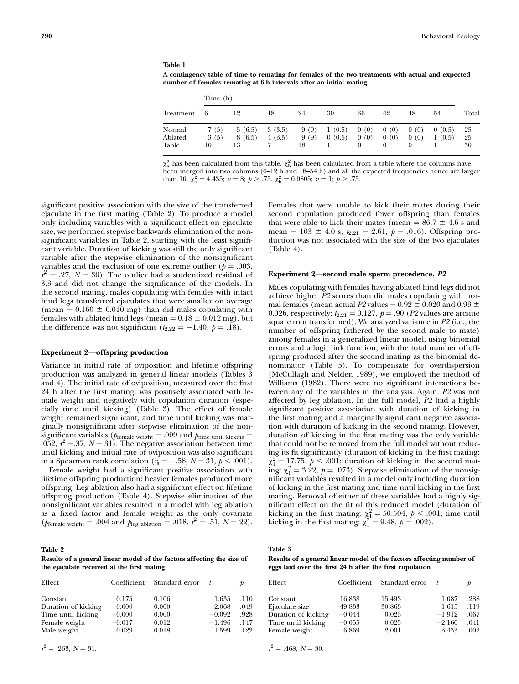#### Table 1

| A contingency table of time to remating for females of the two treatments with actual and expected |
|----------------------------------------------------------------------------------------------------|
| number of females remating at 6-h intervals after an initial mating                                |

| Treatment         | Time (h)     |                  |                  |              |                  |              |              |              |                  |          |
|-------------------|--------------|------------------|------------------|--------------|------------------|--------------|--------------|--------------|------------------|----------|
|                   | 6            | 12               | 18               | 24           | 30               | 36           | 42           | 48           | 54               | Total    |
| Normal<br>Ablated | 7(5)<br>3(5) | 5(6.5)<br>8(6.5) | 3(3.5)<br>4(3.5) | 9(9)<br>9(9) | 1(0.5)<br>0(0.5) | 0(0)<br>0(0) | 0(0)<br>0(0) | 0(0)<br>0(0) | 0(0.5)<br>1(0.5) | 25<br>25 |
| Table             | 10           | 13               |                  | 18           |                  | 0            |              |              |                  | 50       |

 $\chi^2$  has been calculated from this table.  $\chi^2_{\rm b}$  has been calculated from a table where the columns have been merged into two columns (6–12 h and 18–54 h) and all the expected frequencies hence are larger than 10.  $\chi^2_a = 4.435$ ;  $v = 8$ ;  $p > .75$ .  $\chi^2_b = 0.0805$ ;  $v = 1$ ;  $p > .75$ .

significant positive association with the size of the transferred ejaculate in the first mating (Table 2). To produce a model only including variables with a significant effect on ejaculate size, we performed stepwise backwards elimination of the nonsignificant variables in Table 2, starting with the least significant variable. Duration of kicking was still the only significant variable after the stepwise elimination of the nonsignificant variables and the exclusion of one extreme outlier ( $p = .003$ ,  $r^2 = .27$ ,  $N = 30$ ). The outlier had a studentized residual of 3.3 and did not change the significance of the models. In the second mating, males copulating with females with intact hind legs transferred ejaculates that were smaller on average (mean  $= 0.160 \pm 0.010$  mg) than did males copulating with females with ablated hind legs (mean =  $0.18 \pm 0.012$  mg), but the difference was not significant ( $t_{2,22} = -1.40, p = .18$ ).

#### Experiment 2—offspring production

Variance in initial rate of oviposition and lifetime offspring production was analyzed in general linear models (Tables 3 and 4). The initial rate of oviposition, measured over the first 24 h after the first mating, was positively associated with female weight and negatively with copulation duration (especially time until kicking) (Table 3). The effect of female weight remained significant, and time until kicking was marginally nonsignificant after stepwise elimination of the nonsignificant variables ( $p_{\text{female weight}} = .009$  and  $p_{\text{time until picking}} =$  $.052, r^2 = 37, N = 31$ ). The negative association between time until kicking and initial rate of oviposition was also significant in a Spearman rank correlation ( $r_s = -.58$ ,  $N = 31$ ,  $p < .001$ ).

Female weight had a significant positive association with lifetime offspring production; heavier females produced more offspring. Leg ablation also had a significant effect on lifetime offspring production (Table 4). Stepwise elimination of the nonsignificant variables resulted in a model with leg ablation as a fixed factor and female weight as the only covariate ( $p_{\text{female weight}} = .004$  and  $p_{\text{leg ablation}} = .018$ ,  $r^2 = .51$ ,  $N = 22$ ).

#### Table 2

Results of a general linear model of the factors affecting the size of the ejaculate received at the first mating

| Effect              | Coefficient | Standard error | $\boldsymbol{t}$ |      |
|---------------------|-------------|----------------|------------------|------|
| Constant            | 0.175       | 0.106          | 1.635            | .110 |
| Duration of kicking | 0.000       | 0.000          | 2.068            | .049 |
| Time until kicking  | $-0.000$    | 0.000          | $-0.092$         | .928 |
| Female weight       | $-0.017$    | 0.012          | $-1.496$         | .147 |
| Male weight         | 0.029       | 0.018          | 1.599            | .122 |

Females that were unable to kick their mates during their second copulation produced fewer offspring than females that were able to kick their mates (mean  $= 86.7 \pm 4.6$  s and mean = 103  $\pm$  4.0 s,  $t_{2,21}$  = 2.61,  $p = .016$ ). Offspring production was not associated with the size of the two ejaculates (Table 4).

#### Experiment 2—second male sperm precedence, P2

Males copulating with females having ablated hind legs did not achieve higher P2 scores than did males copulating with normal females (mean actual P2 values  $= 0.92 \pm 0.020$  and  $0.93 \pm 0.020$ 0.026, respectively;  $t_{2,21} = 0.127$ ,  $p = .90$  (P2 values are arcsine square root transformed). We analyzed variance in P2 (i.e., the number of offspring fathered by the second male to mate) among females in a generalized linear model, using binomial errors and a logit link function, with the total number of offspring produced after the second mating as the binomial denominator (Table 5). To compensate for overdispersion (McCullagh and Nelder, 1989), we employed the method of Williams (1982). There were no significant interactions between any of the variables in the analysis. Again, P2 was not affected by leg ablation. In the full model, P2 had a highly significant positive association with duration of kicking in the first mating and a marginally significant negative association with duration of kicking in the second mating. However, duration of kicking in the first mating was the only variable that could not be removed from the full model without reducing its fit significantly (duration of kicking in the first mating:  $\chi_1^2 = 17.75, p \leq .001$ ; duration of kicking in the second mating:  $\chi_1^2 = 3.\overline{2}2$ ,  $p = .073$ ). Stepwise elimination of the nonsignificant variables resulted in a model only including duration of kicking in the first mating and time until kicking in the first mating. Removal of either of these variables had a highly significant effect on the fit of this reduced model (duration of kicking in the first mating:  $\chi_1^2 = 50.504, p < .001$ ; time until kicking in the first mating:  $\chi_1^2 = 9.48$ ,  $p = .002$ ).

#### Table 3

Results of a general linear model of the factors affecting number of eggs laid over the first 24 h after the first copulation

| Effect              |          | Coefficient Standard error |          |      |
|---------------------|----------|----------------------------|----------|------|
| Constant            | 16.838   | 15.493                     | 1.087    | .288 |
| Ejaculate size      | 49.833   | 30.863                     | 1.615    | .119 |
| Duration of kicking | $-0.044$ | 0.023                      | $-1.912$ | .067 |
| Time until kicking  | $-0.055$ | 0.025                      | $-2.160$ | .041 |
| Female weight       | 6.869    | 2.001                      | 3.433    | .002 |

 $r^2 = .468; N = 30.$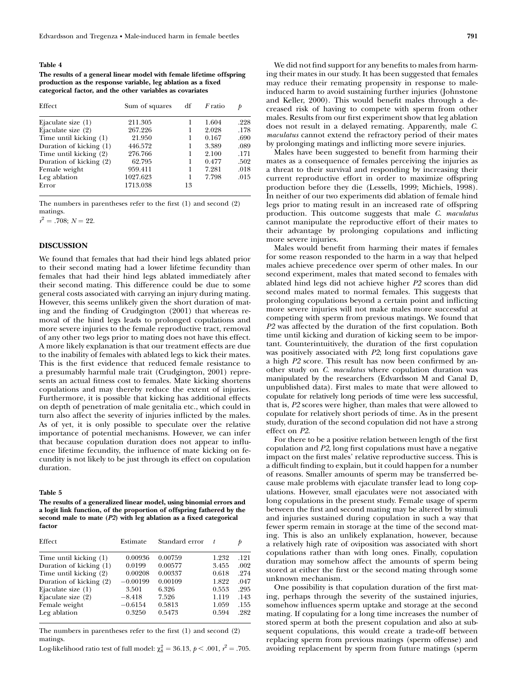Table 4

The results of a general linear model with female lifetime offspring production as the response variable, leg ablation as a fixed categorical factor, and the other variables as covariates

| Effect                  | Sum of squares | df | <i>F</i> ratio | р    |
|-------------------------|----------------|----|----------------|------|
| Ejaculate size $(1)$    | 211.305        |    | 1.604          | .228 |
| Ejaculate size $(2)$    | 267.226        |    | 2.028          | .178 |
| Time until kicking (1)  | 21.950         |    | 0.167          | .690 |
| Duration of kicking (1) | 446.572        |    | 3.389          | .089 |
| Time until kicking (2)  | 276.766        |    | 2.100          | .171 |
| Duration of kicking (2) | 62.795         |    | 0.477          | .502 |
| Female weight           | 959.411        |    | 7.281          | .018 |
| Leg ablation            | 1027.623       |    | 7.798          | .015 |
| Error                   | 1713.038       | 13 |                |      |

The numbers in parentheses refer to the first (1) and second (2) matings.

 $r^2 = .708; N = 22.$ 

# DISCUSSION

We found that females that had their hind legs ablated prior to their second mating had a lower lifetime fecundity than females that had their hind legs ablated immediately after their second mating. This difference could be due to some general costs associated with carrying an injury during mating. However, this seems unlikely given the short duration of mating and the finding of Crudgington (2001) that whereas removal of the hind legs leads to prolonged copulations and more severe injuries to the female reproductive tract, removal of any other two legs prior to mating does not have this effect. A more likely explanation is that our treatment effects are due to the inability of females with ablated legs to kick their mates. This is the first evidence that reduced female resistance to a presumably harmful male trait (Crudgington, 2001) represents an actual fitness cost to females. Mate kicking shortens copulations and may thereby reduce the extent of injuries. Furthermore, it is possible that kicking has additional effects on depth of penetration of male genitalia etc., which could in turn also affect the severity of injuries inflicted by the males. As of yet, it is only possible to speculate over the relative importance of potential mechanisms. However, we can infer that because copulation duration does not appear to influence lifetime fecundity, the influence of mate kicking on fecundity is not likely to be just through its effect on copulation duration.

#### Table 5

The results of a generalized linear model, using binomial errors and a logit link function, of the proportion of offspring fathered by the second male to mate  $(P2)$  with leg ablation as a fixed categorical factor

| Effect                  | Estimate   | Standard error |       |      |
|-------------------------|------------|----------------|-------|------|
| Time until kicking (1)  | 0.00936    | 0.00759        | 1.232 | .121 |
| Duration of kicking (1) | 0.0199     | 0.00577        | 3.455 | .002 |
| Time until kicking (2)  | 0.00208    | 0.00337        | 0.618 | .274 |
| Duration of kicking (2) | $-0.00199$ | 0.00109        | 1.822 | .047 |
| Ejaculate size $(1)$    | 3.501      | 6.326          | 0.553 | .295 |
| Ejaculate size $(2)$    | $-8.418$   | 7.526          | 1.119 | .143 |
| Female weight           | $-0.6154$  | 0.5813         | 1.059 | .155 |
| Leg ablation            | 0.3250     | 0.5473         | 0.594 | .282 |

The numbers in parentheses refer to the first (1) and second (2) matings.

Log-likelihood ratio test of full model:  $\chi^2_8 = 36.13, p < .001, r^2 = .705.$ 

We did not find support for any benefits to males from harming their mates in our study. It has been suggested that females may reduce their remating propensity in response to maleinduced harm to avoid sustaining further injuries (Johnstone and Keller, 2000). This would benefit males through a decreased risk of having to compete with sperm from other males. Results from our first experiment show that leg ablation does not result in a delayed remating. Apparently, male C. maculatus cannot extend the refractory period of their mates by prolonging matings and inflicting more severe injuries.

Males have been suggested to benefit from harming their mates as a consequence of females perceiving the injuries as a threat to their survival and responding by increasing their current reproductive effort in order to maximize offspring production before they die (Lessells, 1999; Michiels, 1998). In neither of our two experiments did ablation of female hind legs prior to mating result in an increased rate of offspring production. This outcome suggests that male C. maculatus cannot manipulate the reproductive effort of their mates to their advantage by prolonging copulations and inflicting more severe injuries.

Males would benefit from harming their mates if females for some reason responded to the harm in a way that helped males achieve precedence over sperm of other males. In our second experiment, males that mated second to females with ablated hind legs did not achieve higher P2 scores than did second males mated to normal females. This suggests that prolonging copulations beyond a certain point and inflicting more severe injuries will not make males more successful at competing with sperm from previous matings. We found that P2 was affected by the duration of the first copulation. Both time until kicking and duration of kicking seem to be important. Counterintuitively, the duration of the first copulation was positively associated with P2; long first copulations gave a high P2 score. This result has now been confirmed by another study on C. maculatus where copulation duration was manipulated by the researchers (Edvardsson M and Canal D, unpublished data). First males to mate that were allowed to copulate for relatively long periods of time were less successful, that is, P2 scores were higher, than males that were allowed to copulate for relatively short periods of time. As in the present study, duration of the second copulation did not have a strong effect on P2.

For there to be a positive relation between length of the first copulation and P2, long first copulations must have a negative impact on the first males' relative reproductive success. This is a difficult finding to explain, but it could happen for a number of reasons. Smaller amounts of sperm may be transferred because male problems with ejaculate transfer lead to long copulations. However, small ejaculates were not associated with long copulations in the present study. Female usage of sperm between the first and second mating may be altered by stimuli and injuries sustained during copulation in such a way that fewer sperm remain in storage at the time of the second mating. This is also an unlikely explanation, however, because a relatively high rate of oviposition was associated with short copulations rather than with long ones. Finally, copulation duration may somehow affect the amounts of sperm being stored at either the first or the second mating through some unknown mechanism.

One possibility is that copulation duration of the first mating, perhaps through the severity of the sustained injuries, somehow influences sperm uptake and storage at the second mating. If copulating for a long time increases the number of stored sperm at both the present copulation and also at subsequent copulations, this would create a trade-off between replacing sperm from previous matings (sperm offense) and avoiding replacement by sperm from future matings (sperm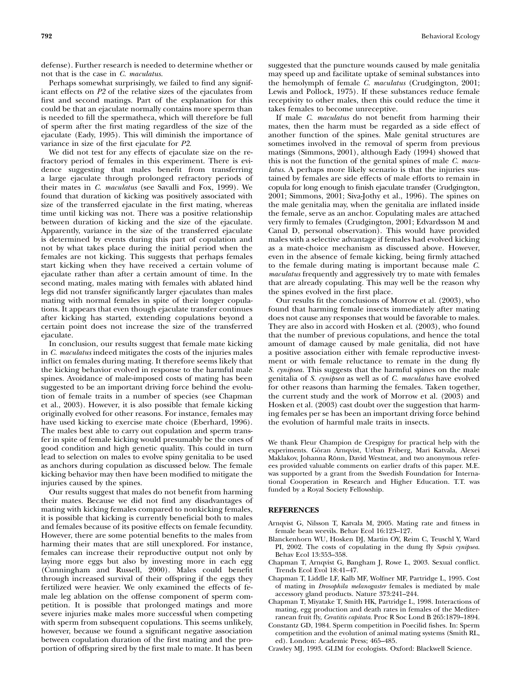defense). Further research is needed to determine whether or not that is the case in C. maculatus.

Perhaps somewhat surprisingly, we failed to find any significant effects on P2 of the relative sizes of the ejaculates from first and second matings. Part of the explanation for this could be that an ejaculate normally contains more sperm than is needed to fill the spermatheca, which will therefore be full of sperm after the first mating regardless of the size of the ejaculate (Eady, 1995). This will diminish the importance of variance in size of the first ejaculate for P2.

We did not test for any effects of ejaculate size on the refractory period of females in this experiment. There is evidence suggesting that males benefit from transferring a large ejaculate through prolonged refractory periods of their mates in C. maculatus (see Savalli and Fox, 1999). We found that duration of kicking was positively associated with size of the transferred ejaculate in the first mating, whereas time until kicking was not. There was a positive relationship between duration of kicking and the size of the ejaculate. Apparently, variance in the size of the transferred ejaculate is determined by events during this part of copulation and not by what takes place during the initial period when the females are not kicking. This suggests that perhaps females start kicking when they have received a certain volume of ejaculate rather than after a certain amount of time. In the second mating, males mating with females with ablated hind legs did not transfer significantly larger ejaculates than males mating with normal females in spite of their longer copulations. It appears that even though ejaculate transfer continues after kicking has started, extending copulations beyond a certain point does not increase the size of the transferred ejaculate.

In conclusion, our results suggest that female mate kicking in C. maculatus indeed mitigates the costs of the injuries males inflict on females during mating. It therefore seems likely that the kicking behavior evolved in response to the harmful male spines. Avoidance of male-imposed costs of mating has been suggested to be an important driving force behind the evolution of female traits in a number of species (see Chapman et al., 2003). However, it is also possible that female kicking originally evolved for other reasons. For instance, females may have used kicking to exercise mate choice (Eberhard, 1996). The males best able to carry out copulation and sperm transfer in spite of female kicking would presumably be the ones of good condition and high genetic quality. This could in turn lead to selection on males to evolve spiny genitalia to be used as anchors during copulation as discussed below. The female kicking behavior may then have been modified to mitigate the injuries caused by the spines.

Our results suggest that males do not benefit from harming their mates. Because we did not find any disadvantages of mating with kicking females compared to nonkicking females, it is possible that kicking is currently beneficial both to males and females because of its positive effects on female fecundity. However, there are some potential benefits to the males from harming their mates that are still unexplored. For instance, females can increase their reproductive output not only by laying more eggs but also by investing more in each egg (Cunningham and Russell, 2000). Males could benefit through increased survival of their offspring if the eggs they fertilized were heavier. We only examined the effects of female leg ablation on the offense component of sperm competition. It is possible that prolonged matings and more severe injuries make males more successful when competing with sperm from subsequent copulations. This seems unlikely, however, because we found a significant negative association between copulation duration of the first mating and the proportion of offspring sired by the first male to mate. It has been

suggested that the puncture wounds caused by male genitalia may speed up and facilitate uptake of seminal substances into the hemolymph of female C. maculatus (Crudgington, 2001; Lewis and Pollock, 1975). If these substances reduce female receptivity to other males, then this could reduce the time it takes females to become unreceptive.

If male C. maculatus do not benefit from harming their mates, then the harm must be regarded as a side effect of another function of the spines. Male genital structures are sometimes involved in the removal of sperm from previous matings (Simmons, 2001), although Eady (1994) showed that this is not the function of the genital spines of male C. maculatus. A perhaps more likely scenario is that the injuries sustained by females are side effects of male efforts to remain in copula for long enough to finish ejaculate transfer (Crudgington, 2001; Simmons, 2001; Siva-Jothy et al., 1996). The spines on the male genitalia may, when the genitalia are inflated inside the female, serve as an anchor. Copulating males are attached very firmly to females (Crudgington, 2001; Edvardsson M and Canal D, personal observation). This would have provided males with a selective advantage if females had evolved kicking as a mate-choice mechanism as discussed above. However, even in the absence of female kicking, being firmly attached to the female during mating is important because male C. maculatus frequently and aggressively try to mate with females that are already copulating. This may well be the reason why the spines evolved in the first place.

Our results fit the conclusions of Morrow et al. (2003), who found that harming female insects immediately after mating does not cause any responses that would be favorable to males. They are also in accord with Hosken et al. (2003), who found that the number of previous copulations, and hence the total amount of damage caused by male genitalia, did not have a positive association either with female reproductive investment or with female reluctance to remate in the dung fly S. cynipsea. This suggests that the harmful spines on the male genitalia of S. cynipsea as well as of C. maculatus have evolved for other reasons than harming the females. Taken together, the current study and the work of Morrow et al. (2003) and Hosken et al. (2003) cast doubt over the suggestion that harming females per se has been an important driving force behind the evolution of harmful male traits in insects.

We thank Fleur Champion de Crespigny for practical help with the experiments. Göran Arnqvist, Urban Friberg, Mari Katvala, Alexei Maklakov, Johanna Rönn, David Westneat, and two anonymous referees provided valuable comments on earlier drafts of this paper. M.E. was supported by a grant from the Swedish Foundation for International Cooperation in Research and Higher Education. T.T. was funded by a Royal Society Fellowship.

# **REFERENCES**

- Arnqvist G, Nilsson T, Katvala M, 2005. Mating rate and fitness in female bean weevils. Behav Ecol 16:123–127.
- Blanckenhorn WU, Hosken DJ, Martin OY, Reim C, Teuschl Y, Ward PI, 2002. The costs of copulating in the dung fly Sepsis cynipsea. Behav Ecol 13:353–358.
- Chapman T, Arnqvist G, Bangham J, Rowe L, 2003. Sexual conflict. Trends Ecol Evol 18:41–47.
- Chapman T, Liddle LF, Kalb MF, Wolfner MF, Partridge L, 1995. Cost of mating in Drosophila melanogaster females is mediated by male accessory gland products. Nature 373:241–244.
- Chapman T, Miyatake T, Smith HK, Partridge L, 1998. Interactions of mating, egg production and death rates in females of the Mediterranean fruit fly, Ceratitis capitata. Proc R Soc Lond B 265:1879–1894.
- Constantz GD, 1984. Sperm competition in Poecilid fishes. In: Sperm competition and the evolution of animal mating systems (Smith RL, ed). London: Academic Press; 465–485.
- Crawley MJ, 1993. GLIM for ecologists. Oxford: Blackwell Science.